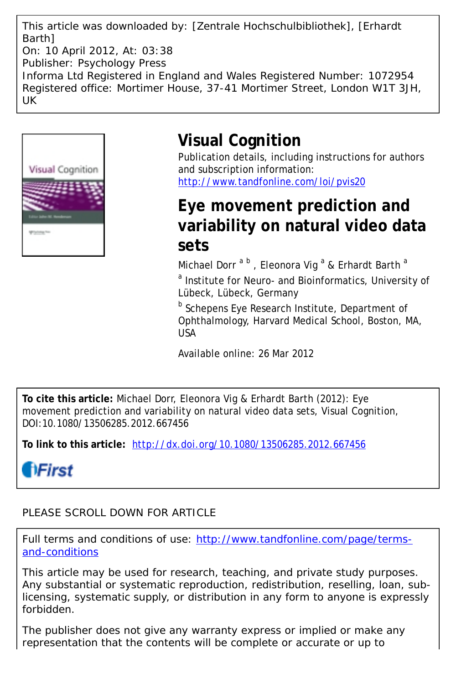This article was downloaded by: [Zentrale Hochschulbibliothek], [Erhardt Barth]

On: 10 April 2012, At: 03:38 Publisher: Psychology Press

Informa Ltd Registered in England and Wales Registered Number: 1072954 Registered office: Mortimer House, 37-41 Mortimer Street, London W1T 3JH, UK



# **Visual Cognition**

Publication details, including instructions for authors and subscription information: <http://www.tandfonline.com/loi/pvis20>

# **Eye movement prediction and variability on natural video data sets**

Michael Dorr <sup>a b</sup>, Eleonora Vig <sup>a</sup> & Erhardt Barth <sup>a</sup>

<sup>a</sup> Institute for Neuro- and Bioinformatics, University of Lübeck, Lübeck, Germany

**b** Schepens Eye Research Institute, Department of Ophthalmology, Harvard Medical School, Boston, MA, USA

Available online: 26 Mar 2012

**To cite this article:** Michael Dorr, Eleonora Vig & Erhardt Barth (2012): Eye movement prediction and variability on natural video data sets, Visual Cognition, DOI:10.1080/13506285.2012.667456

**To link to this article:** <http://dx.doi.org/10.1080/13506285.2012.667456>



# PLEASE SCROLL DOWN FOR ARTICLE

Full terms and conditions of use: [http://www.tandfonline.com/page/terms](http://www.tandfonline.com/page/terms-and-conditions)[and-conditions](http://www.tandfonline.com/page/terms-and-conditions)

This article may be used for research, teaching, and private study purposes. Any substantial or systematic reproduction, redistribution, reselling, loan, sublicensing, systematic supply, or distribution in any form to anyone is expressly forbidden.

The publisher does not give any warranty express or implied or make any representation that the contents will be complete or accurate or up to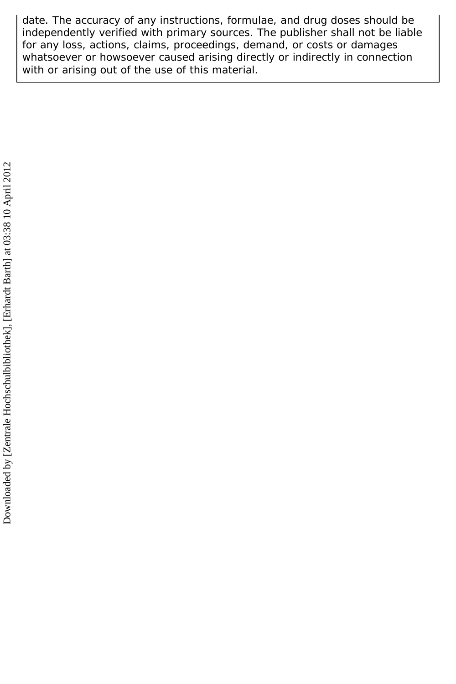date. The accuracy of any instructions, formulae, and drug doses should be independently verified with primary sources. The publisher shall not be liable for any loss, actions, claims, proceedings, demand, or costs or damages whatsoever or howsoever caused arising directly or indirectly in connection with or arising out of the use of this material.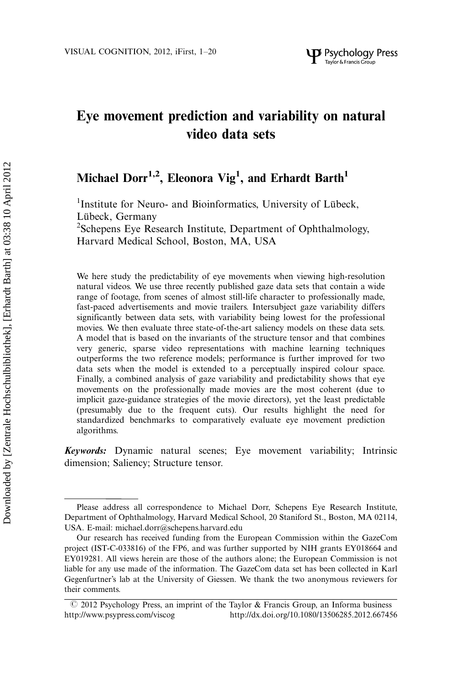# Eye movement prediction and variability on natural video data sets

# Michael Dorr<sup>1,2</sup>, Eleonora Vig<sup>1</sup>, and Erhardt Barth<sup>1</sup>

<sup>1</sup>Institute for Neuro- and Bioinformatics, University of Lübeck, Lübeck, Germany <sup>2</sup>Schepens Eye Research Institute, Department of Ophthalmology, Harvard Medical School, Boston, MA, USA

We here study the predictability of eye movements when viewing high-resolution natural videos. We use three recently published gaze data sets that contain a wide range of footage, from scenes of almost still-life character to professionally made, fast-paced advertisements and movie trailers. Intersubject gaze variability differs significantly between data sets, with variability being lowest for the professional movies. We then evaluate three state-of-the-art saliency models on these data sets. A model that is based on the invariants of the structure tensor and that combines very generic, sparse video representations with machine learning techniques outperforms the two reference models; performance is further improved for two data sets when the model is extended to a perceptually inspired colour space. Finally, a combined analysis of gaze variability and predictability shows that eye movements on the professionally made movies are the most coherent (due to implicit gaze-guidance strategies of the movie directors), yet the least predictable (presumably due to the frequent cuts). Our results highlight the need for standardized benchmarks to comparatively evaluate eye movement prediction algorithms.

Keywords: Dynamic natural scenes; Eye movement variability; Intrinsic dimension; Saliency; Structure tensor.

Please address all correspondence to Michael Dorr, Schepens Eye Research Institute, Department of Ophthalmology, Harvard Medical School, 20 Staniford St., Boston, MA 02114, USA. E-mail: michael.dorr@schepens.harvard.edu

Our research has received funding from the European Commission within the GazeCom project (IST-C-033816) of the FP6, and was further supported by NIH grants EY018664 and EY019281. All views herein are those of the authors alone; the European Commission is not liable for any use made of the information. The GazeCom data set has been collected in Karl Gegenfurtner's lab at the University of Giessen. We thank the two anonymous reviewers for their comments.

 $\odot$  2012 Psychology Press, an imprint of the Taylor & Francis Group, an Informa business <http://www.psypress.com/viscog><http://dx.doi.org/10.1080/13506285.2012.667456>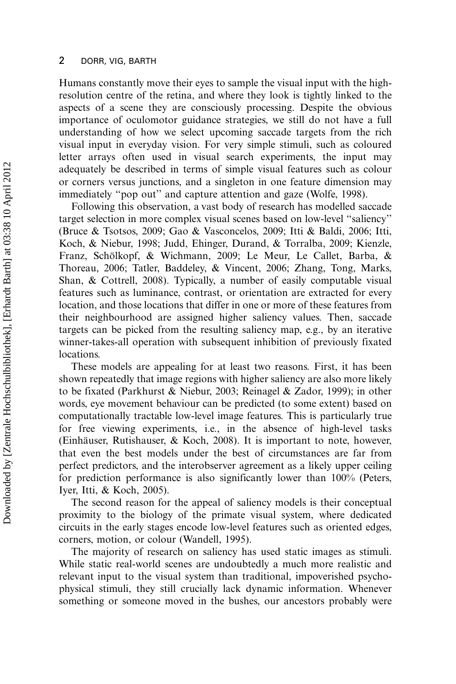#### 2 DORR, VIG, BARTH

Humans constantly move their eyes to sample the visual input with the highresolution centre of the retina, and where they look is tightly linked to the aspects of a scene they are consciously processing. Despite the obvious importance of oculomotor guidance strategies, we still do not have a full understanding of how we select upcoming saccade targets from the rich visual input in everyday vision. For very simple stimuli, such as coloured letter arrays often used in visual search experiments, the input may adequately be described in terms of simple visual features such as colour or corners versus junctions, and a singleton in one feature dimension may immediately ''pop out'' and capture attention and gaze (Wolfe, 1998).

Following this observation, a vast body of research has modelled saccade target selection in more complex visual scenes based on low-level ''saliency'' (Bruce & Tsotsos, 2009; Gao & Vasconcelos, 2009; Itti & Baldi, 2006; Itti, Koch, & Niebur, 1998; Judd, Ehinger, Durand, & Torralba, 2009; Kienzle, Franz, Schölkopf, & Wichmann, 2009; Le Meur, Le Callet, Barba, & Thoreau, 2006; Tatler, Baddeley, & Vincent, 2006; Zhang, Tong, Marks, Shan, & Cottrell, 2008). Typically, a number of easily computable visual features such as luminance, contrast, or orientation are extracted for every location, and those locations that differ in one or more of these features from their neighbourhood are assigned higher saliency values. Then, saccade targets can be picked from the resulting saliency map, e.g., by an iterative winner-takes-all operation with subsequent inhibition of previously fixated locations.

These models are appealing for at least two reasons. First, it has been shown repeatedly that image regions with higher saliency are also more likely to be fixated (Parkhurst & Niebur, 2003; Reinagel & Zador, 1999); in other words, eye movement behaviour can be predicted (to some extent) based on computationally tractable low-level image features. This is particularly true for free viewing experiments, i.e., in the absence of high-level tasks (Einhäuser, Rutishauser, & Koch, 2008). It is important to note, however, that even the best models under the best of circumstances are far from perfect predictors, and the interobserver agreement as a likely upper ceiling for prediction performance is also significantly lower than 100% (Peters, Iyer, Itti, & Koch, 2005).

The second reason for the appeal of saliency models is their conceptual proximity to the biology of the primate visual system, where dedicated circuits in the early stages encode low-level features such as oriented edges, corners, motion, or colour (Wandell, 1995).

The majority of research on saliency has used static images as stimuli. While static real-world scenes are undoubtedly a much more realistic and relevant input to the visual system than traditional, impoverished psychophysical stimuli, they still crucially lack dynamic information. Whenever something or someone moved in the bushes, our ancestors probably were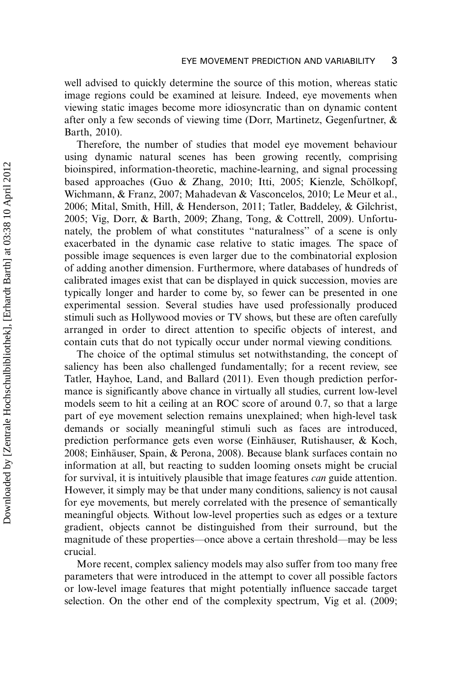well advised to quickly determine the source of this motion, whereas static image regions could be examined at leisure. Indeed, eye movements when viewing static images become more idiosyncratic than on dynamic content after only a few seconds of viewing time (Dorr, Martinetz, Gegenfurtner, & Barth, 2010).

Therefore, the number of studies that model eye movement behaviour using dynamic natural scenes has been growing recently, comprising bioinspired, information-theoretic, machine-learning, and signal processing based approaches (Guo & Zhang, 2010; Itti, 2005; Kienzle, Schölkopf, Wichmann, & Franz, 2007; Mahadevan & Vasconcelos, 2010; Le Meur et al., 2006; Mital, Smith, Hill, & Henderson, 2011; Tatler, Baddeley, & Gilchrist, 2005; Vig, Dorr, & Barth, 2009; Zhang, Tong, & Cottrell, 2009). Unfortunately, the problem of what constitutes ''naturalness'' of a scene is only exacerbated in the dynamic case relative to static images. The space of possible image sequences is even larger due to the combinatorial explosion of adding another dimension. Furthermore, where databases of hundreds of calibrated images exist that can be displayed in quick succession, movies are typically longer and harder to come by, so fewer can be presented in one experimental session. Several studies have used professionally produced stimuli such as Hollywood movies or TV shows, but these are often carefully arranged in order to direct attention to specific objects of interest, and contain cuts that do not typically occur under normal viewing conditions.

The choice of the optimal stimulus set notwithstanding, the concept of saliency has been also challenged fundamentally; for a recent review, see Tatler, Hayhoe, Land, and Ballard (2011). Even though prediction performance is significantly above chance in virtually all studies, current low-level models seem to hit a ceiling at an ROC score of around 0.7, so that a large part of eye movement selection remains unexplained; when high-level task demands or socially meaningful stimuli such as faces are introduced, prediction performance gets even worse (Einhäuser, Rutishauser, & Koch, 2008; Einhäuser, Spain, & Perona, 2008). Because blank surfaces contain no information at all, but reacting to sudden looming onsets might be crucial for survival, it is intuitively plausible that image features *can* guide attention. However, it simply may be that under many conditions, saliency is not causal for eye movements, but merely correlated with the presence of semantically meaningful objects. Without low-level properties such as edges or a texture gradient, objects cannot be distinguished from their surround, but the magnitude of these properties—once above a certain threshold—may be less crucial.

More recent, complex saliency models may also suffer from too many free parameters that were introduced in the attempt to cover all possible factors or low-level image features that might potentially influence saccade target selection. On the other end of the complexity spectrum, Vig et al. (2009;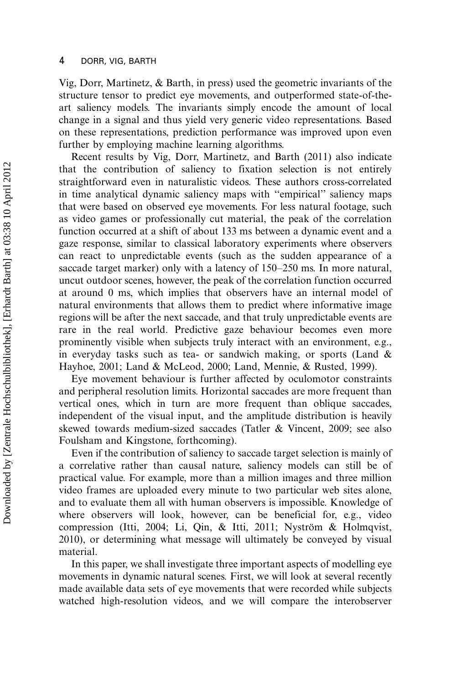Vig, Dorr, Martinetz, & Barth, in press) used the geometric invariants of the structure tensor to predict eye movements, and outperformed state-of-theart saliency models. The invariants simply encode the amount of local change in a signal and thus yield very generic video representations. Based on these representations, prediction performance was improved upon even further by employing machine learning algorithms.

Recent results by Vig, Dorr, Martinetz, and Barth (2011) also indicate that the contribution of saliency to fixation selection is not entirely straightforward even in naturalistic videos. These authors cross-correlated in time analytical dynamic saliency maps with ''empirical'' saliency maps that were based on observed eye movements. For less natural footage, such as video games or professionally cut material, the peak of the correlation function occurred at a shift of about 133 ms between a dynamic event and a gaze response, similar to classical laboratory experiments where observers can react to unpredictable events (such as the sudden appearance of a saccade target marker) only with a latency of 150-250 ms. In more natural, uncut outdoor scenes, however, the peak of the correlation function occurred at around 0 ms, which implies that observers have an internal model of natural environments that allows them to predict where informative image regions will be after the next saccade, and that truly unpredictable events are rare in the real world. Predictive gaze behaviour becomes even more prominently visible when subjects truly interact with an environment, e.g., in everyday tasks such as tea- or sandwich making, or sports (Land & Hayhoe, 2001; Land & McLeod, 2000; Land, Mennie, & Rusted, 1999).

Eye movement behaviour is further affected by oculomotor constraints and peripheral resolution limits. Horizontal saccades are more frequent than vertical ones, which in turn are more frequent than oblique saccades, independent of the visual input, and the amplitude distribution is heavily skewed towards medium-sized saccades (Tatler & Vincent, 2009; see also Foulsham and Kingstone, forthcoming).

Even if the contribution of saliency to saccade target selection is mainly of a correlative rather than causal nature, saliency models can still be of practical value. For example, more than a million images and three million video frames are uploaded every minute to two particular web sites alone, and to evaluate them all with human observers is impossible. Knowledge of where observers will look, however, can be beneficial for, e.g., video compression (Itti, 2004; Li, Qin, & Itti, 2011; Nyström & Holmqvist, 2010), or determining what message will ultimately be conveyed by visual material.

In this paper, we shall investigate three important aspects of modelling eye movements in dynamic natural scenes. First, we will look at several recently made available data sets of eye movements that were recorded while subjects watched high-resolution videos, and we will compare the interobserver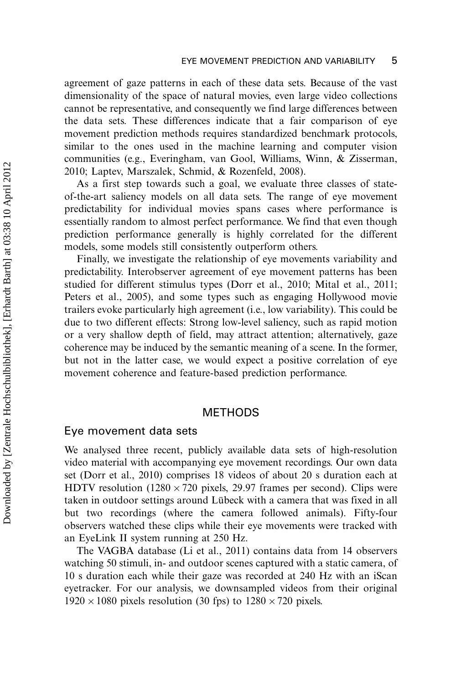agreement of gaze patterns in each of these data sets. Because of the vast dimensionality of the space of natural movies, even large video collections cannot be representative, and consequently we find large differences between the data sets. These differences indicate that a fair comparison of eye movement prediction methods requires standardized benchmark protocols, similar to the ones used in the machine learning and computer vision communities (e.g., Everingham, van Gool, Williams, Winn, & Zisserman, 2010; Laptev, Marszalek, Schmid, & Rozenfeld, 2008).

As a first step towards such a goal, we evaluate three classes of stateof-the-art saliency models on all data sets. The range of eye movement predictability for individual movies spans cases where performance is essentially random to almost perfect performance. We find that even though prediction performance generally is highly correlated for the different models, some models still consistently outperform others.

Finally, we investigate the relationship of eye movements variability and predictability. Interobserver agreement of eye movement patterns has been studied for different stimulus types (Dorr et al., 2010; Mital et al., 2011; Peters et al., 2005), and some types such as engaging Hollywood movie trailers evoke particularly high agreement (i.e., low variability). This could be due to two different effects: Strong low-level saliency, such as rapid motion or a very shallow depth of field, may attract attention; alternatively, gaze coherence may be induced by the semantic meaning of a scene. In the former, but not in the latter case, we would expect a positive correlation of eye movement coherence and feature-based prediction performance.

### **METHODS**

#### Eye movement data sets

We analysed three recent, publicly available data sets of high-resolution video material with accompanying eye movement recordings. Our own data set (Dorr et al., 2010) comprises 18 videos of about 20 s duration each at HDTV resolution (1280  $\times$  720 pixels, 29.97 frames per second). Clips were taken in outdoor settings around Lübeck with a camera that was fixed in all but two recordings (where the camera followed animals). Fifty-four observers watched these clips while their eye movements were tracked with an EyeLink II system running at 250 Hz.

The VAGBA database (Li et al., 2011) contains data from 14 observers watching 50 stimuli, in- and outdoor scenes captured with a static camera, of 10 s duration each while their gaze was recorded at 240 Hz with an iScan eyetracker. For our analysis, we downsampled videos from their original  $1920\times1080$  pixels resolution (30 fps) to  $1280\times720$  pixels.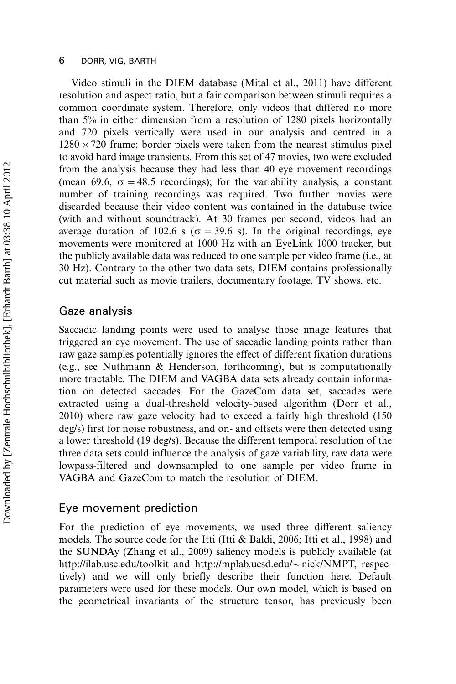#### 6 DORR, VIG, BARTH

Video stimuli in the DIEM database (Mital et al., 2011) have different resolution and aspect ratio, but a fair comparison between stimuli requires a common coordinate system. Therefore, only videos that differed no more than 5% in either dimension from a resolution of 1280 pixels horizontally and 720 pixels vertically were used in our analysis and centred in a  $1280 \times 720$  frame; border pixels were taken from the nearest stimulus pixel to avoid hard image transients. From this set of 47 movies, two were excluded from the analysis because they had less than 40 eye movement recordings (mean 69.6,  $\sigma = 48.5$  recordings); for the variability analysis, a constant number of training recordings was required. Two further movies were discarded because their video content was contained in the database twice (with and without soundtrack). At 30 frames per second, videos had an average duration of 102.6 s ( $\sigma$  = 39.6 s). In the original recordings, eye movements were monitored at 1000 Hz with an EyeLink 1000 tracker, but the publicly available data was reduced to one sample per video frame (i.e., at 30 Hz). Contrary to the other two data sets, DIEM contains professionally cut material such as movie trailers, documentary footage, TV shows, etc.

#### Gaze analysis

Saccadic landing points were used to analyse those image features that triggered an eye movement. The use of saccadic landing points rather than raw gaze samples potentially ignores the effect of different fixation durations (e.g., see Nuthmann & Henderson, forthcoming), but is computationally more tractable. The DIEM and VAGBA data sets already contain information on detected saccades. For the GazeCom data set, saccades were extracted using a dual-threshold velocity-based algorithm (Dorr et al., 2010) where raw gaze velocity had to exceed a fairly high threshold (150 deg/s) first for noise robustness, and on- and offsets were then detected using a lower threshold (19 deg/s). Because the different temporal resolution of the three data sets could influence the analysis of gaze variability, raw data were lowpass-filtered and downsampled to one sample per video frame in VAGBA and GazeCom to match the resolution of DIEM.

#### Eye movement prediction

For the prediction of eye movements, we used three different saliency models. The source code for the Itti (Itti & Baldi, 2006; Itti et al., 1998) and the SUNDAy (Zhang et al., 2009) saliency models is publicly available (at <http://ilab.usc.edu/toolkit> and [http://mplab.ucsd.edu/](http://mplab.ucsd.edu/∼nick/NMPT) $\sim$ [nick/NMPT,](http://mplab.ucsd.edu/∼nick/NMPT) respectively) and we will only briefly describe their function here. Default parameters were used for these models. Our own model, which is based on the geometrical invariants of the structure tensor, has previously been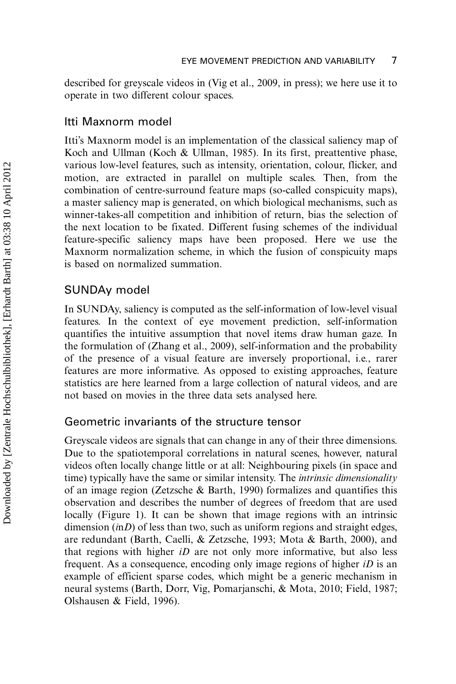described for greyscale videos in (Vig et al., 2009, in press); we here use it to operate in two different colour spaces.

### Itti Maxnorm model

Itti's Maxnorm model is an implementation of the classical saliency map of Koch and Ullman (Koch & Ullman, 1985). In its first, preattentive phase, various low-level features, such as intensity, orientation, colour, flicker, and motion, are extracted in parallel on multiple scales. Then, from the combination of centre-surround feature maps (so-called conspicuity maps), a master saliency map is generated, on which biological mechanisms, such as winner-takes-all competition and inhibition of return, bias the selection of the next location to be fixated. Different fusing schemes of the individual feature-specific saliency maps have been proposed. Here we use the Maxnorm normalization scheme, in which the fusion of conspicuity maps is based on normalized summation.

# SUNDAy model

In SUNDAy, saliency is computed as the self-information of low-level visual features. In the context of eye movement prediction, self-information quantifies the intuitive assumption that novel items draw human gaze. In the formulation of (Zhang et al., 2009), self-information and the probability of the presence of a visual feature are inversely proportional, i.e., rarer features are more informative. As opposed to existing approaches, feature statistics are here learned from a large collection of natural videos, and are not based on movies in the three data sets analysed here.

## Geometric invariants of the structure tensor

Greyscale videos are signals that can change in any of their three dimensions. Due to the spatiotemporal correlations in natural scenes, however, natural videos often locally change little or at all: Neighbouring pixels (in space and time) typically have the same or similar intensity. The *intrinsic dimensionality* of an image region (Zetzsche  $\&$  Barth, 1990) formalizes and quantifies this observation and describes the number of degrees of freedom that are used locally (Figure 1). It can be shown that image regions with an intrinsic dimension  $(inD)$  of less than two, such as uniform regions and straight edges, are redundant (Barth, Caelli, & Zetzsche, 1993; Mota & Barth, 2000), and that regions with higher  $iD$  are not only more informative, but also less frequent. As a consequence, encoding only image regions of higher  $iD$  is an example of efficient sparse codes, which might be a generic mechanism in neural systems (Barth, Dorr, Vig, Pomarjanschi, & Mota, 2010; Field, 1987; Olshausen & Field, 1996).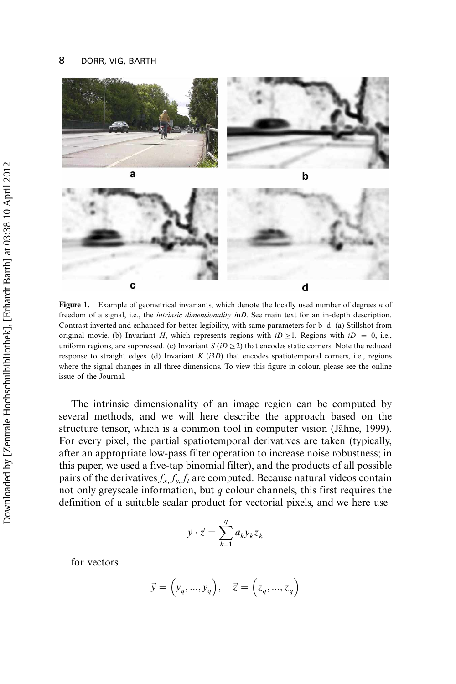

Figure 1. Example of geometrical invariants, which denote the locally used number of degrees  $n$  of freedom of a signal, i.e., the *intrinsic dimensionality inD*. See main text for an in-depth description. Contrast inverted and enhanced for better legibility, with same parameters for  $b-d$ . (a) Stillshot from original movie. (b) Invariant H, which represents regions with  $iD \geq 1$ . Regions with  $iD = 0$ , i.e., uniform regions, are suppressed. (c) Invariant S  $(iD \geq 2)$  that encodes static corners. Note the reduced response to straight edges. (d) Invariant  $K(i3D)$  that encodes spatiotemporal corners, i.e., regions where the signal changes in all three dimensions. To view this figure in colour, please see the online issue of the Journal.

The intrinsic dimensionality of an image region can be computed by several methods, and we will here describe the approach based on the structure tensor, which is a common tool in computer vision (Jähne, 1999). For every pixel, the partial spatiotemporal derivatives are taken (typically, after an appropriate low-pass filter operation to increase noise robustness; in this paper, we used a five-tap binomial filter), and the products of all possible pairs of the derivatives  $f_x, f_y, f_t$  are computed. Because natural videos contain not only greyscale information, but  $q$  colour channels, this first requires the definition of a suitable scalar product for vectorial pixels, and we here use

$$
\vec{y} \cdot \vec{z} = \sum_{k=1}^{q} a_k y_k z_k
$$

for vectors

$$
\vec{y} = (y_q, ..., y_q), \quad \vec{z} = (z_q, ..., z_q)
$$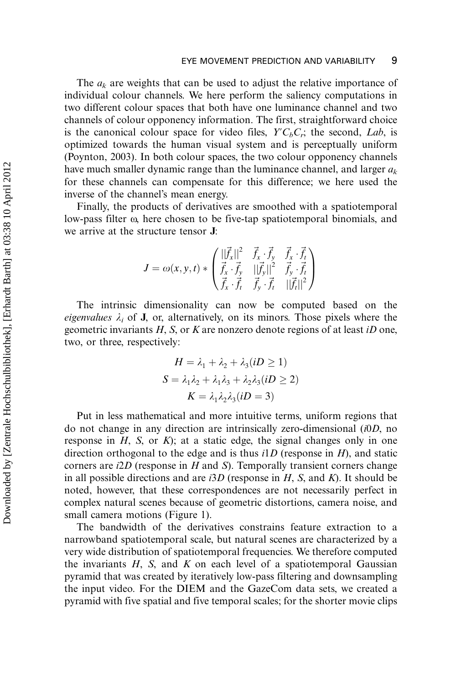The  $a_k$  are weights that can be used to adjust the relative importance of individual colour channels. We here perform the saliency computations in two different colour spaces that both have one luminance channel and two channels of colour opponency information. The first, straightforward choice is the canonical colour space for video files,  $Y C_b C_r$ ; the second, Lab, is optimized towards the human visual system and is perceptually uniform (Poynton, 2003). In both colour spaces, the two colour opponency channels have much smaller dynamic range than the luminance channel, and larger  $a_k$ for these channels can compensate for this difference; we here used the inverse of the channel's mean energy.

Finally, the products of derivatives are smoothed with a spatiotemporal low-pass filter  $\omega$ , here chosen to be five-tap spatiotemporal binomials, and we arrive at the structure tensor J:

$$
J = \omega(x, y, t) * \begin{pmatrix} ||\vec{f}_x||^2 & \vec{f}_x \cdot \vec{f}_y & \vec{f}_x \cdot \vec{f}_t \\ \vec{f}_x \cdot \vec{f}_y & ||\vec{f}_y||^2 & \vec{f}_y \cdot \vec{f}_t \\ \vec{f}_x \cdot \vec{f}_t & \vec{f}_y \cdot \vec{f}_t & ||\vec{f}_t||^2 \end{pmatrix}
$$

The intrinsic dimensionality can now be computed based on the eigenvalues  $\lambda_i$  of **J**, or, alternatively, on its minors. Those pixels where the geometric invariants  $H$ , S, or K are nonzero denote regions of at least *iD* one, two, or three, respectively:

$$
H = \lambda_1 + \lambda_2 + \lambda_3 (iD \ge 1)
$$
  
\n
$$
S = \lambda_1 \lambda_2 + \lambda_1 \lambda_3 + \lambda_2 \lambda_3 (iD \ge 2)
$$
  
\n
$$
K = \lambda_1 \lambda_2 \lambda_3 (iD = 3)
$$

Put in less mathematical and more intuitive terms, uniform regions that do not change in any direction are intrinsically zero-dimensional (i0D, no response in  $H$ , S, or K); at a static edge, the signal changes only in one direction orthogonal to the edge and is thus  $iD$  (response in  $H$ ), and static corners are  $i2D$  (response in H and S). Temporally transient corners change in all possible directions and are  $i3D$  (response in H, S, and K). It should be noted, however, that these correspondences are not necessarily perfect in complex natural scenes because of geometric distortions, camera noise, and small camera motions (Figure 1).

The bandwidth of the derivatives constrains feature extraction to a narrowband spatiotemporal scale, but natural scenes are characterized by a very wide distribution of spatiotemporal frequencies. We therefore computed the invariants  $H$ ,  $S$ , and  $K$  on each level of a spatiotemporal Gaussian pyramid that was created by iteratively low-pass filtering and downsampling the input video. For the DIEM and the GazeCom data sets, we created a pyramid with five spatial and five temporal scales; for the shorter movie clips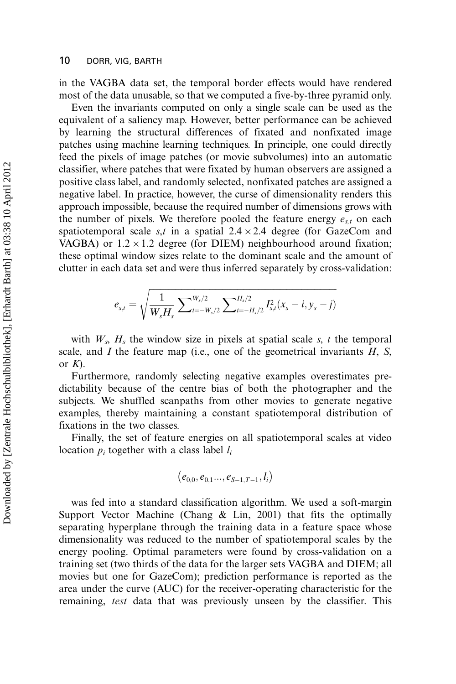in the VAGBA data set, the temporal border effects would have rendered most of the data unusable, so that we computed a five-by-three pyramid only.

Even the invariants computed on only a single scale can be used as the equivalent of a saliency map. However, better performance can be achieved by learning the structural differences of fixated and nonfixated image patches using machine learning techniques. In principle, one could directly feed the pixels of image patches (or movie subvolumes) into an automatic classifier, where patches that were fixated by human observers are assigned a positive class label, and randomly selected, nonfixated patches are assigned a negative label. In practice, however, the curse of dimensionality renders this approach impossible, because the required number of dimensions grows with the number of pixels. We therefore pooled the feature energy  $e_{s,t}$  on each spatiotemporal scale s,t in a spatial  $2.4 \times 2.4$  degree (for GazeCom and VAGBA) or  $1.2 \times 1.2$  degree (for DIEM) neighbourhood around fixation; these optimal window sizes relate to the dominant scale and the amount of clutter in each data set and were thus inferred separately by cross-validation:

$$
e_{s,t} = \sqrt{\frac{1}{W_s H_s} \sum_{i=-W_s/2}^{W_s/2} \sum_{i=-H_s/2}^{H_s/2} I_{s,t}^2 (x_s - i, y_s - j)}
$$

with  $W_s$ ,  $H_s$  the window size in pixels at spatial scale s, t the temporal scale, and I the feature map (i.e., one of the geometrical invariants  $H$ , S, or  $K$ ).

Furthermore, randomly selecting negative examples overestimates predictability because of the centre bias of both the photographer and the subjects. We shuffled scanpaths from other movies to generate negative examples, thereby maintaining a constant spatiotemporal distribution of fixations in the two classes.

Finally, the set of feature energies on all spatiotemporal scales at video location  $p_i$  together with a class label  $l_i$ 

$$
\left( e_{0,0},e_{0,1}...,e_{S-1,T-1},l_{i}\right)
$$

was fed into a standard classification algorithm. We used a soft-margin Support Vector Machine (Chang & Lin, 2001) that fits the optimally separating hyperplane through the training data in a feature space whose dimensionality was reduced to the number of spatiotemporal scales by the energy pooling. Optimal parameters were found by cross-validation on a training set (two thirds of the data for the larger sets VAGBA and DIEM; all movies but one for GazeCom); prediction performance is reported as the area under the curve (AUC) for the receiver-operating characteristic for the remaining, test data that was previously unseen by the classifier. This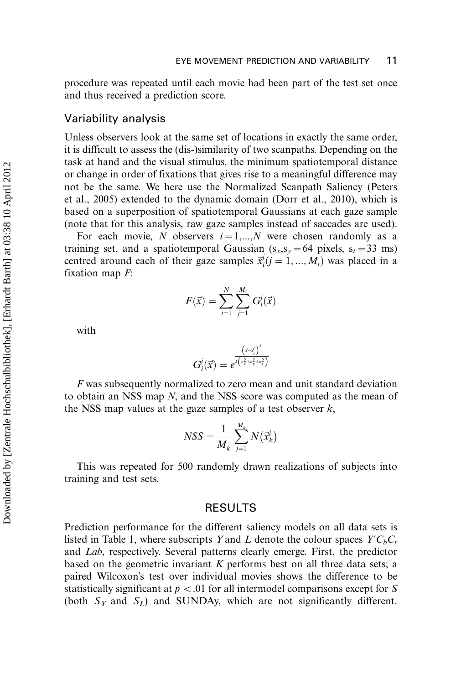procedure was repeated until each movie had been part of the test set once and thus received a prediction score.

#### Variability analysis

Unless observers look at the same set of locations in exactly the same order, it is difficult to assess the (dis-)similarity of two scanpaths. Depending on the task at hand and the visual stimulus, the minimum spatiotemporal distance or change in order of fixations that gives rise to a meaningful difference may not be the same. We here use the Normalized Scanpath Saliency (Peters et al., 2005) extended to the dynamic domain (Dorr et al., 2010), which is based on a superposition of spatiotemporal Gaussians at each gaze sample (note that for this analysis, raw gaze samples instead of saccades are used).

For each movie, N observers  $i=1,...,N$  were chosen randomly as a training set, and a spatiotemporal Gaussian ( $s_x, s_y = 64$  pixels,  $s_t = 33$  ms) centred around each of their gaze samples  $\vec{x}_i^j$   $(j = 1, ..., M_i)$  was placed in a fixation map  $F$ :

$$
F(\vec{x}) = \sum_{i=1}^{N} \sum_{j=1}^{M_i} G_i^j(\vec{x})
$$

with

$$
G_i^j(\vec{x})=e^{\overbrace{\left(\vec{x}-\vec{x}_i^j\right)^2}}^{\left(\vec{x}-\vec{x}_i^j\right)^2}
$$

F was subsequently normalized to zero mean and unit standard deviation to obtain an NSS map N, and the NSS score was computed as the mean of the NSS map values at the gaze samples of a test observer  $k$ ,

$$
NSS = \frac{1}{M_k} \sum_{j=1}^{M_k} N(\vec{x}_k^j)
$$

This was repeated for 500 randomly drawn realizations of subjects into training and test sets.

#### RESULTS

Prediction performance for the different saliency models on all data sets is listed in Table 1, where subscripts Y and L denote the colour spaces  $Y C_b C_r$ and Lab, respectively. Several patterns clearly emerge. First, the predictor based on the geometric invariant  $K$  performs best on all three data sets; a paired Wilcoxon's test over individual movies shows the difference to be statistically significant at  $p < 0.01$  for all intermodel comparisons except for S (both  $S_Y$  and  $S_U$ ) and SUNDAy, which are not significantly different.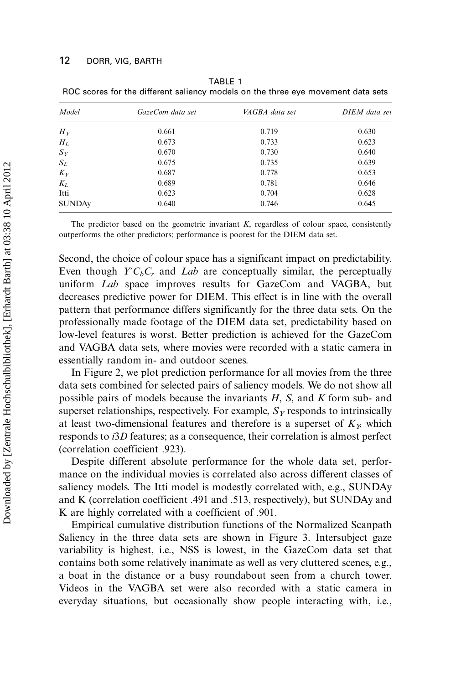#### 12 DORR, VIG, BARTH

| Model              | GazeCom data set | VAGBA data set | DIEM data set |
|--------------------|------------------|----------------|---------------|
| $H_Y$              | 0.661            | 0.719          | 0.630         |
| $H_L$              | 0.673            | 0.733          | 0.623         |
| $\boldsymbol{S}_Y$ | 0.670            | 0.730          | 0.640         |
| $S_L$              | 0.675            | 0.735          | 0.639         |
| $K_Y$              | 0.687            | 0.778          | 0.653         |
| $K_L$              | 0.689            | 0.781          | 0.646         |
| Itti               | 0.623            | 0.704          | 0.628         |
| <b>SUNDAy</b>      | 0.640            | 0.746          | 0.645         |

| TABLE 1                                                                          |  |
|----------------------------------------------------------------------------------|--|
| ROC scores for the different saliency models on the three eye movement data sets |  |

The predictor based on the geometric invariant  $K$ , regardless of colour space, consistently outperforms the other predictors; performance is poorest for the DIEM data set.

Second, the choice of colour space has a significant impact on predictability. Even though  $Y C_b C_r$  and Lab are conceptually similar, the perceptually uniform Lab space improves results for GazeCom and VAGBA, but decreases predictive power for DIEM. This effect is in line with the overall pattern that performance differs significantly for the three data sets. On the professionally made footage of the DIEM data set, predictability based on low-level features is worst. Better prediction is achieved for the GazeCom and VAGBA data sets, where movies were recorded with a static camera in essentially random in- and outdoor scenes.

In Figure 2, we plot prediction performance for all movies from the three data sets combined for selected pairs of saliency models. We do not show all possible pairs of models because the invariants  $H$ ,  $S$ , and  $K$  form sub- and superset relationships, respectively. For example,  $S<sub>Y</sub>$  responds to intrinsically at least two-dimensional features and therefore is a superset of  $K<sub>X</sub>$ , which responds to i3D features; as a consequence, their correlation is almost perfect (correlation coefficient .923).

Despite different absolute performance for the whole data set, performance on the individual movies is correlated also across different classes of saliency models. The Itti model is modestly correlated with, e.g., SUNDAy and K (correlation coefficient .491 and .513, respectively), but SUNDAy and K are highly correlated with a coefficient of .901.

Empirical cumulative distribution functions of the Normalized Scanpath Saliency in the three data sets are shown in Figure 3. Intersubject gaze variability is highest, i.e., NSS is lowest, in the GazeCom data set that contains both some relatively inanimate as well as very cluttered scenes, e.g., a boat in the distance or a busy roundabout seen from a church tower. Videos in the VAGBA set were also recorded with a static camera in everyday situations, but occasionally show people interacting with, i.e.,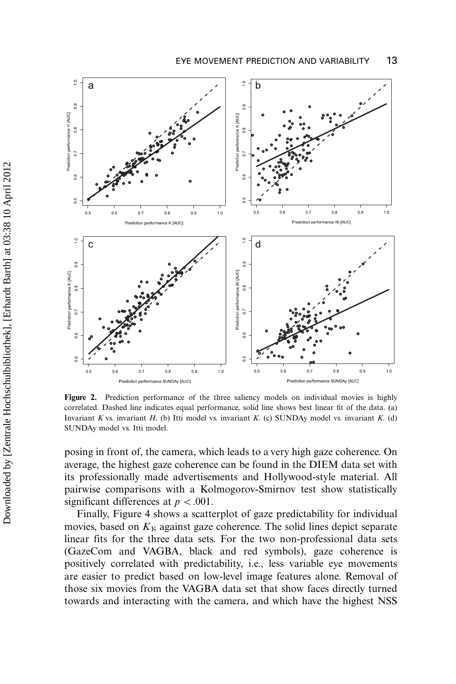

Figure 2. Prediction performance of the three saliency models on individual movies is highly correlated. Dashed line indicates equal performance, solid line shows best linear fit of the data. (a) Invariant K vs. invariant H. (b) Itti model vs. invariant K. (c) SUNDAy model vs. invariant K. (d) SUNDAy model vs. Itti model.

posing in front of, the camera, which leads to a very high gaze coherence. On average, the highest gaze coherence can be found in the DIEM data set with its professionally made advertisements and Hollywood-style material. All pairwise comparisons with a Kolmogorov-Smirnov test show statistically significant differences at  $p < .001$ .

Finally, Figure 4 shows a scatterplot of gaze predictability for individual movies, based on  $K<sub>X</sub>$  against gaze coherence. The solid lines depict separate linear fits for the three data sets. For the two non-professional data sets (GazeCom and VAGBA, black and red symbols), gaze coherence is positively correlated with predictability, i.e., less variable eye movements are easier to predict based on low-level image features alone. Removal of those six movies from the VAGBA data set that show faces directly turned towards and interacting with the camera, and which have the highest NSS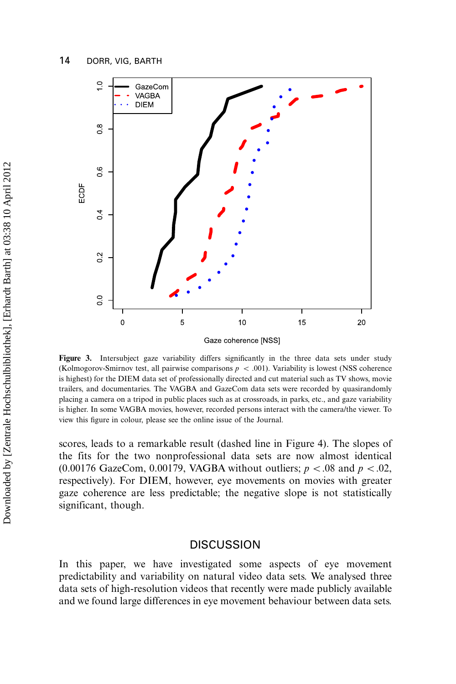

Gaze coherence [NSS]

Figure 3. Intersubject gaze variability differs significantly in the three data sets under study (Kolmogorov-Smirnov test, all pairwise comparisons  $p < .001$ ). Variability is lowest (NSS coherence is highest) for the DIEM data set of professionally directed and cut material such as TV shows, movie trailers, and documentaries. The VAGBA and GazeCom data sets were recorded by quasirandomly placing a camera on a tripod in public places such as at crossroads, in parks, etc., and gaze variability is higher. In some VAGBA movies, however, recorded persons interact with the camera/the viewer. To view this figure in colour, please see the online issue of the Journal.

scores, leads to a remarkable result (dashed line in Figure 4). The slopes of the fits for the two nonprofessional data sets are now almost identical (0.00176 GazeCom, 0.00179, VAGBA without outliers;  $p < .08$  and  $p < .02$ , respectively). For DIEM, however, eye movements on movies with greater gaze coherence are less predictable; the negative slope is not statistically significant, though.

### **DISCUSSION**

In this paper, we have investigated some aspects of eye movement predictability and variability on natural video data sets. We analysed three data sets of high-resolution videos that recently were made publicly available and we found large differences in eye movement behaviour between data sets.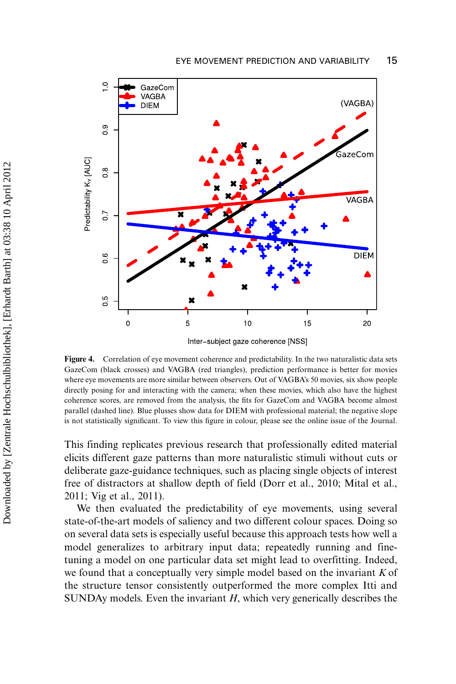

Inter-subject gaze coherence [NSS]

Figure 4. Correlation of eye movement coherence and predictability. In the two naturalistic data sets GazeCom (black crosses) and VAGBA (red triangles), prediction performance is better for movies where eye movements are more similar between observers. Out of VAGBA's 50 movies, six show people directly posing for and interacting with the camera; when these movies, which also have the highest coherence scores, are removed from the analysis, the fits for GazeCom and VAGBA become almost parallel (dashed line). Blue plusses show data for DIEM with professional material; the negative slope is not statistically significant. To view this figure in colour, please see the online issue of the Journal.

This finding replicates previous research that professionally edited material elicits different gaze patterns than more naturalistic stimuli without cuts or deliberate gaze-guidance techniques, such as placing single objects of interest free of distractors at shallow depth of field (Dorr et al., 2010; Mital et al., 2011; Vig et al., 2011).

We then evaluated the predictability of eye movements, using several state-of-the-art models of saliency and two different colour spaces. Doing so on several data sets is especially useful because this approach tests how well a model generalizes to arbitrary input data; repeatedly running and finetuning a model on one particular data set might lead to overfitting. Indeed, we found that a conceptually very simple model based on the invariant  $K$  of the structure tensor consistently outperformed the more complex Itti and SUNDAy models. Even the invariant  $H$ , which very generically describes the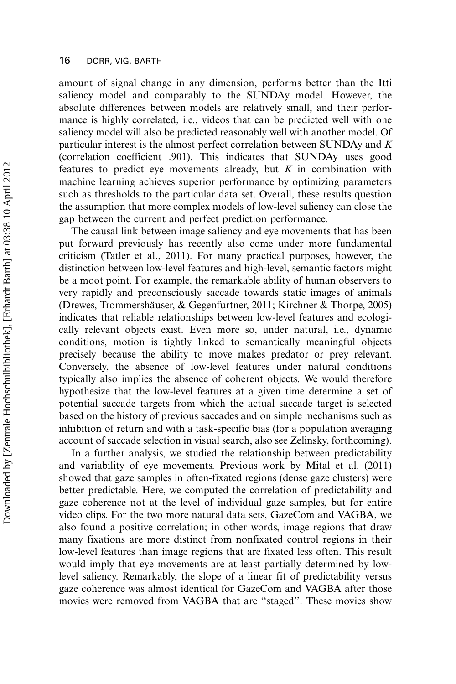amount of signal change in any dimension, performs better than the Itti saliency model and comparably to the SUNDAy model. However, the absolute differences between models are relatively small, and their performance is highly correlated, i.e., videos that can be predicted well with one saliency model will also be predicted reasonably well with another model. Of particular interest is the almost perfect correlation between SUNDAy and K (correlation coefficient .901). This indicates that SUNDAy uses good features to predict eye movements already, but  $K$  in combination with machine learning achieves superior performance by optimizing parameters such as thresholds to the particular data set. Overall, these results question the assumption that more complex models of low-level saliency can close the gap between the current and perfect prediction performance.

The causal link between image saliency and eye movements that has been put forward previously has recently also come under more fundamental criticism (Tatler et al., 2011). For many practical purposes, however, the distinction between low-level features and high-level, semantic factors might be a moot point. For example, the remarkable ability of human observers to very rapidly and preconsciously saccade towards static images of animals (Drewes, Trommersha¨user, & Gegenfurtner, 2011; Kirchner & Thorpe, 2005) indicates that reliable relationships between low-level features and ecologically relevant objects exist. Even more so, under natural, i.e., dynamic conditions, motion is tightly linked to semantically meaningful objects precisely because the ability to move makes predator or prey relevant. Conversely, the absence of low-level features under natural conditions typically also implies the absence of coherent objects. We would therefore hypothesize that the low-level features at a given time determine a set of potential saccade targets from which the actual saccade target is selected based on the history of previous saccades and on simple mechanisms such as inhibition of return and with a task-specific bias (for a population averaging account of saccade selection in visual search, also see Zelinsky, forthcoming).

In a further analysis, we studied the relationship between predictability and variability of eye movements. Previous work by Mital et al. (2011) showed that gaze samples in often-fixated regions (dense gaze clusters) were better predictable. Here, we computed the correlation of predictability and gaze coherence not at the level of individual gaze samples, but for entire video clips. For the two more natural data sets, GazeCom and VAGBA, we also found a positive correlation; in other words, image regions that draw many fixations are more distinct from nonfixated control regions in their low-level features than image regions that are fixated less often. This result would imply that eye movements are at least partially determined by lowlevel saliency. Remarkably, the slope of a linear fit of predictability versus gaze coherence was almost identical for GazeCom and VAGBA after those movies were removed from VAGBA that are ''staged''. These movies show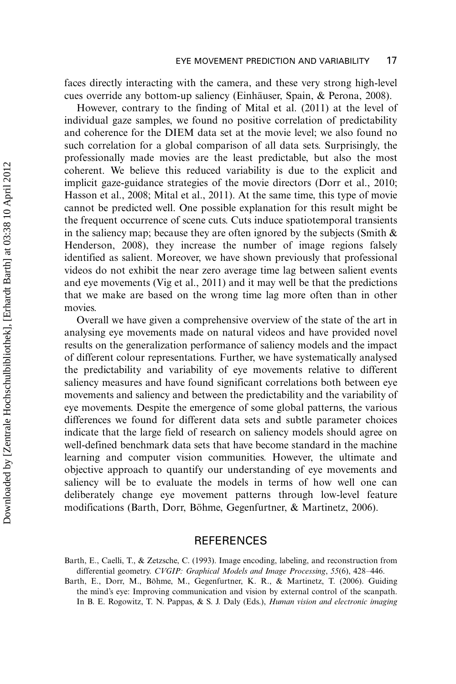faces directly interacting with the camera, and these very strong high-level cues override any bottom-up saliency (Einhäuser, Spain, & Perona, 2008).

However, contrary to the finding of Mital et al. (2011) at the level of individual gaze samples, we found no positive correlation of predictability and coherence for the DIEM data set at the movie level; we also found no such correlation for a global comparison of all data sets. Surprisingly, the professionally made movies are the least predictable, but also the most coherent. We believe this reduced variability is due to the explicit and implicit gaze-guidance strategies of the movie directors (Dorr et al., 2010; Hasson et al., 2008; Mital et al., 2011). At the same time, this type of movie cannot be predicted well. One possible explanation for this result might be the frequent occurrence of scene cuts. Cuts induce spatiotemporal transients in the saliency map; because they are often ignored by the subjects (Smith  $\&$ Henderson, 2008), they increase the number of image regions falsely identified as salient. Moreover, we have shown previously that professional videos do not exhibit the near zero average time lag between salient events and eye movements (Vig et al., 2011) and it may well be that the predictions that we make are based on the wrong time lag more often than in other movies.

Overall we have given a comprehensive overview of the state of the art in analysing eye movements made on natural videos and have provided novel results on the generalization performance of saliency models and the impact of different colour representations. Further, we have systematically analysed the predictability and variability of eye movements relative to different saliency measures and have found significant correlations both between eye movements and saliency and between the predictability and the variability of eye movements. Despite the emergence of some global patterns, the various differences we found for different data sets and subtle parameter choices indicate that the large field of research on saliency models should agree on well-defined benchmark data sets that have become standard in the machine learning and computer vision communities. However, the ultimate and objective approach to quantify our understanding of eye movements and saliency will be to evaluate the models in terms of how well one can deliberately change eye movement patterns through low-level feature modifications (Barth, Dorr, Böhme, Gegenfurtner, & Martinetz, 2006).

## **REFERENCES**

Barth, E., Caelli, T., & Zetzsche, C. (1993). Image encoding, labeling, and reconstruction from differential geometry. CVGIP: Graphical Models and Image Processing, 55(6), 428-446.

Barth, E., Dorr, M., Böhme, M., Gegenfurtner, K. R., & Martinetz, T. (2006). Guiding the mind's eye: Improving communication and vision by external control of the scanpath. In B. E. Rogowitz, T. N. Pappas, & S. J. Daly (Eds.), *Human vision and electronic imaging*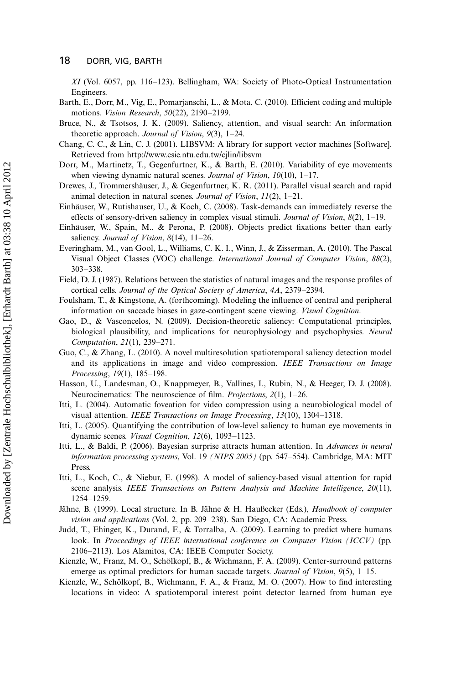$XI$  (Vol. 6057, pp. 116–123). Bellingham, WA: Society of Photo-Optical Instrumentation Engineers.

- Barth, E., Dorr, M., Vig, E., Pomarjanschi, L., & Mota, C. (2010). Efficient coding and multiple motions. Vision Research, 50(22), 2190-2199.
- Bruce, N., & Tsotsos, J. K. (2009). Saliency, attention, and visual search: An information theoretic approach. Journal of Vision,  $9(3)$ , 1-24.
- Chang, C. C., & Lin, C. J. (2001). LIBSVM: A library for support vector machines [Software]. Retrieved from<http://www.csie.ntu.edu.tw/cjlin/libsvm>
- Dorr, M., Martinetz, T., Gegenfurtner, K., & Barth, E. (2010). Variability of eye movements when viewing dynamic natural scenes. Journal of Vision,  $10(10)$ , 1-17.
- Drewes, J., Trommershäuser, J., & Gegenfurtner, K. R. (2011). Parallel visual search and rapid animal detection in natural scenes. Journal of Vision,  $11(2)$ , 1-21.
- Einhäuser, W., Rutishauser, U., & Koch, C. (2008). Task-demands can immediately reverse the effects of sensory-driven saliency in complex visual stimuli. Journal of Vision,  $8(2)$ , 1–19.
- Einhäuser, W., Spain, M., & Perona, P. (2008). Objects predict fixations better than early saliency. Journal of Vision,  $8(14)$ ,  $11-26$ .
- Everingham, M., van Gool, L., Williams, C. K. I., Winn, J., & Zisserman, A. (2010). The Pascal Visual Object Classes (VOC) challenge. International Journal of Computer Vision, 88(2), 303-338.
- Field, D. J. (1987). Relations between the statistics of natural images and the response profiles of cortical cells. Journal of the Optical Society of America, 4A, 2379-2394.
- Foulsham, T., & Kingstone, A. (forthcoming). Modeling the influence of central and peripheral information on saccade biases in gaze-contingent scene viewing. Visual Cognition.
- Gao, D., & Vasconcelos, N. (2009). Decision-theoretic saliency: Computational principles, biological plausibility, and implications for neurophysiology and psychophysics. Neural Computation,  $21(1)$ ,  $239-271$ .
- Guo, C., & Zhang, L. (2010). A novel multiresolution spatiotemporal saliency detection model and its applications in image and video compression. IEEE Transactions on Image Processing,  $19(1)$ ,  $185-198$ .
- Hasson, U., Landesman, O., Knappmeyer, B., Vallines, I., Rubin, N., & Heeger, D. J. (2008). Neurocinematics: The neuroscience of film. *Projections*,  $2(1)$ ,  $1-26$ .
- Itti, L. (2004). Automatic foveation for video compression using a neurobiological model of visual attention. IEEE Transactions on Image Processing, 13(10), 1304-1318.
- Itti, L. (2005). Quantifying the contribution of low-level saliency to human eye movements in dynamic scenes. *Visual Cognition*,  $12(6)$ ,  $1093-1123$ .
- Itti, L., & Baldi, P. (2006). Bayesian surprise attracts human attention. In Advances in neural information processing systems, Vol. 19 (NIPS 2005) (pp. 547–554). Cambridge, MA: MIT Press.
- Itti, L., Koch, C., & Niebur, E. (1998). A model of saliency-based visual attention for rapid scene analysis. IEEE Transactions on Pattern Analysis and Machine Intelligence, 20(11), 1254-1259.
- Jähne, B. (1999). Local structure. In B. Jähne & H. Haußecker (Eds.), Handbook of computer vision and applications (Vol. 2, pp. 209–238). San Diego, CA: Academic Press.
- Judd, T., Ehinger, K., Durand, F., & Torralba, A. (2009). Learning to predict where humans look. In Proceedings of IEEE international conference on Computer Vision (ICCV) (pp. 2106-2113). Los Alamitos, CA: IEEE Computer Society.
- Kienzle, W., Franz, M. O., Schölkopf, B., & Wichmann, F. A. (2009). Center-surround patterns emerge as optimal predictors for human saccade targets. Journal of Vision,  $9(5)$ , 1–15.
- Kienzle, W., Schölkopf, B., Wichmann, F. A., & Franz, M. O. (2007). How to find interesting locations in video: A spatiotemporal interest point detector learned from human eye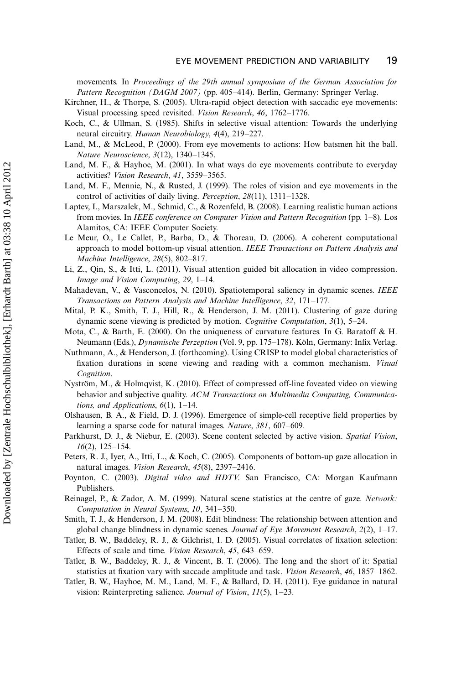movements. In Proceedings of the 29th annual symposium of the German Association for Pattern Recognition (DAGM 2007) (pp. 405-414). Berlin, Germany: Springer Verlag.

- Kirchner, H., & Thorpe, S. (2005). Ultra-rapid object detection with saccadic eye movements: Visual processing speed revisited. Vision Research, 46, 1762-1776.
- Koch, C., & Ullman, S. (1985). Shifts in selective visual attention: Towards the underlying neural circuitry. Human Neurobiology, 4(4), 219-227.
- Land, M., & McLeod, P. (2000). From eye movements to actions: How batsmen hit the ball. Nature Neuroscience,  $3(12)$ ,  $1340-1345$ .
- Land, M. F., & Hayhoe, M. (2001). In what ways do eye movements contribute to everyday activities? Vision Research, 41, 3559-3565.
- Land, M. F., Mennie, N., & Rusted, J. (1999). The roles of vision and eye movements in the control of activities of daily living. Perception,  $28(11)$ ,  $1311-1328$ .
- Laptev, I., Marszalek, M., Schmid, C., & Rozenfeld, B. (2008). Learning realistic human actions from movies. In IEEE conference on Computer Vision and Pattern Recognition (pp. 1-8). Los Alamitos, CA: IEEE Computer Society.
- Le Meur, O., Le Callet, P., Barba, D., & Thoreau, D. (2006). A coherent computational approach to model bottom-up visual attention. IEEE Transactions on Pattern Analysis and Machine Intelligence,  $28(5)$ ,  $802-817$ .
- Li, Z., Qin, S., & Itti, L. (2011). Visual attention guided bit allocation in video compression. Image and Vision Computing,  $29$ ,  $1-14$ .
- Mahadevan, V., & Vasconcelos, N. (2010). Spatiotemporal saliency in dynamic scenes. IEEE Transactions on Pattern Analysis and Machine Intelligence, 32, 171-177.
- Mital, P. K., Smith, T. J., Hill, R., & Henderson, J. M. (2011). Clustering of gaze during dynamic scene viewing is predicted by motion. Cognitive Computation,  $3(1)$ ,  $5-24$ .
- Mota, C., & Barth, E. (2000). On the uniqueness of curvature features. In G. Baratoff & H. Neumann (Eds.), Dynamische Perzeption (Vol. 9, pp. 175-178). Köln, Germany: Infix Verlag.
- Nuthmann, A., & Henderson, J. (forthcoming). Using CRISP to model global characteristics of fixation durations in scene viewing and reading with a common mechanism. Visual Cognition.
- Nyström, M., & Holmqvist, K. (2010). Effect of compressed off-line foveated video on viewing behavior and subjective quality. ACM Transactions on Multimedia Computing, Communications, and Applications,  $6(1)$ , 1–14.
- Olshausen, B. A., & Field, D. J. (1996). Emergence of simple-cell receptive field properties by learning a sparse code for natural images. Nature,  $381, 607-609$ .
- Parkhurst, D. J., & Niebur, E. (2003). Scene content selected by active vision. Spatial Vision,  $16(2)$ , 125-154.
- Peters, R. J., Iyer, A., Itti, L., & Koch, C. (2005). Components of bottom-up gaze allocation in natural images. Vision Research,  $45(8)$ ,  $2397-2416$ .
- Poynton, C. (2003). Digital video and HDTV. San Francisco, CA: Morgan Kaufmann Publishers.
- Reinagel, P., & Zador, A. M. (1999). Natural scene statistics at the centre of gaze. Network: Computation in Neural Systems, 10, 341-350.
- Smith, T. J., & Henderson, J. M. (2008). Edit blindness: The relationship between attention and global change blindness in dynamic scenes. Journal of Eye Movement Research,  $2(2)$ , 1-17.
- Tatler, B. W., Baddeley, R. J., & Gilchrist, I. D. (2005). Visual correlates of fixation selection: Effects of scale and time. Vision Research, 45, 643-659.
- Tatler, B. W., Baddeley, R. J., & Vincent, B. T. (2006). The long and the short of it: Spatial statistics at fixation vary with saccade amplitude and task. Vision Research, 46, 1857-1862.
- Tatler, B. W., Hayhoe, M. M., Land, M. F., & Ballard, D. H. (2011). Eye guidance in natural vision: Reinterpreting salience. Journal of Vision,  $11(5)$ , 1-23.